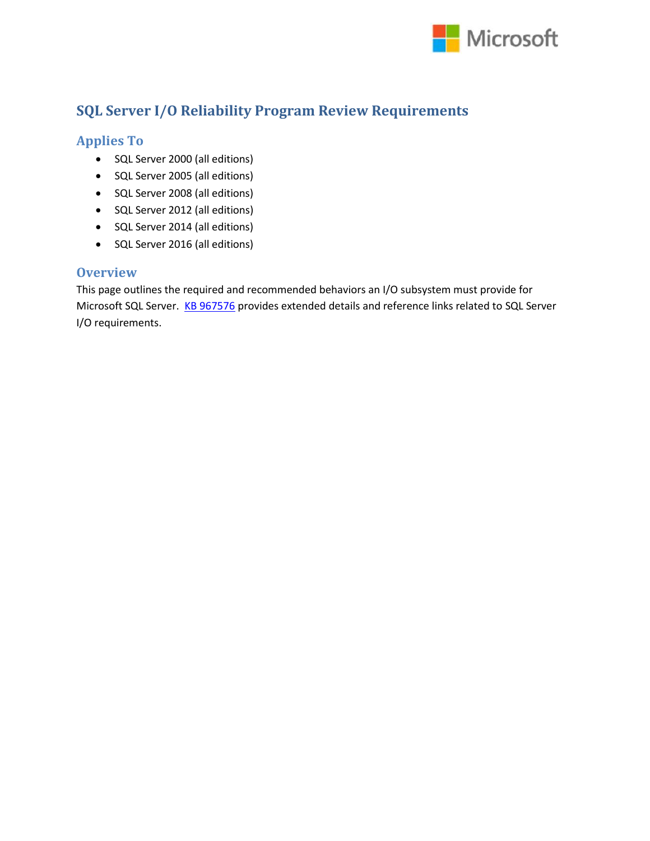

## **SQL Server I/O Reliability Program Review Requirements**

### **Applies To**

- SQL Server 2000 (all editions)
- SQL Server 2005 (all editions)
- SQL Server 2008 (all editions)
- SQL Server 2012 (all editions)
- SQL Server 2014 (all editions)
- SQL Server 2016 (all editions)

#### **Overview**

This page outlines the required and recommended behaviors an I/O subsystem must provide for Microsoft SQL Server. [KB 967576](http://support.microsoft.com/en-us/kb/967576) provides extended details and reference links related to SQL Server I/O requirements.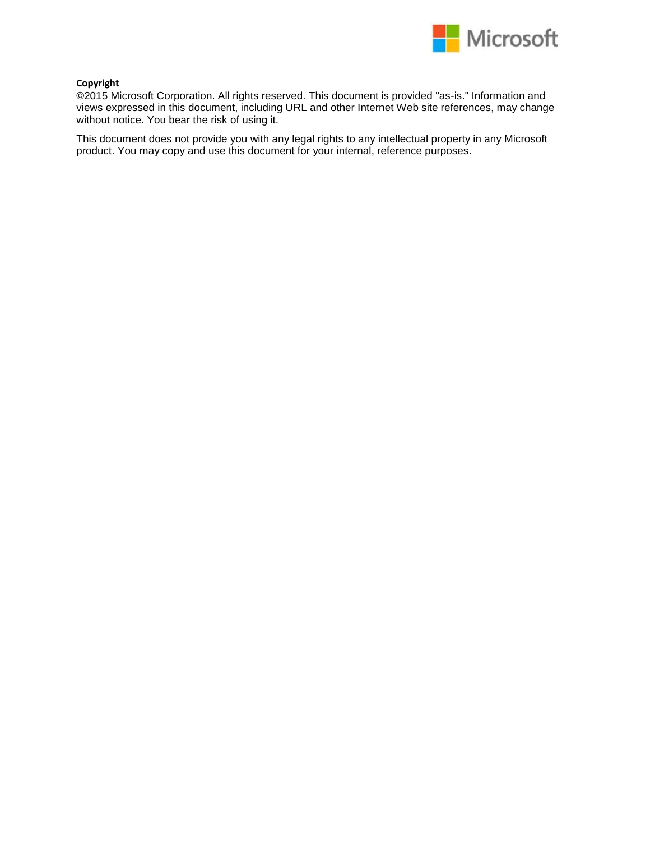

#### **Copyright**

©2015 Microsoft Corporation. All rights reserved. This document is provided "as-is." Information and views expressed in this document, including URL and other Internet Web site references, may change without notice. You bear the risk of using it.

This document does not provide you with any legal rights to any intellectual property in any Microsoft product. You may copy and use this document for your internal, reference purposes.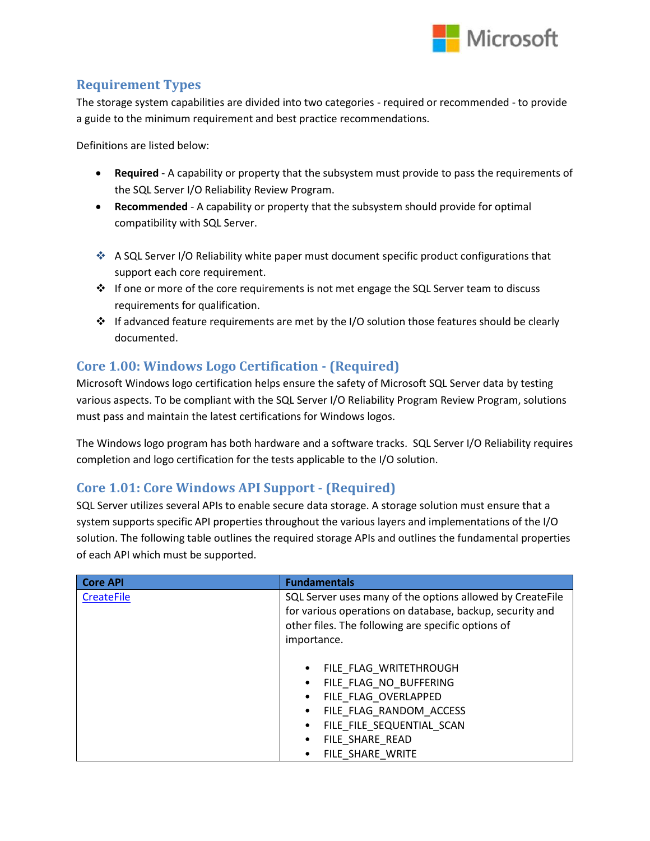

#### **Requirement Types**

The storage system capabilities are divided into two categories - required or recommended - to provide a guide to the minimum requirement and best practice recommendations.

Definitions are listed below:

- **Required** A capability or property that the subsystem must provide to pass the requirements of the SQL Server I/O Reliability Review Program.
- **Recommended** A capability or property that the subsystem should provide for optimal compatibility with SQL Server.
- A SQL Server I/O Reliability white paper must document specific product configurations that support each core requirement.
- $\cdot \cdot$  If one or more of the core requirements is not met engage the SQL Server team to discuss requirements for qualification.
- $\cdot \cdot$  If advanced feature requirements are met by the I/O solution those features should be clearly documented.

## **Core 1.00: Windows Logo Certification - (Required)**

Microsoft Windows logo certification helps ensure the safety of Microsoft SQL Server data by testing various aspects. To be compliant with the SQL Server I/O Reliability Program Review Program, solutions must pass and maintain the latest certifications for Windows logos.

The Windows logo program has both hardware and a software tracks. SQL Server I/O Reliability requires completion and logo certification for the tests applicable to the I/O solution.

### **Core 1.01: Core Windows API Support - (Required)**

SQL Server utilizes several APIs to enable secure data storage. A storage solution must ensure that a system supports specific API properties throughout the various layers and implementations of the I/O solution. The following table outlines the required storage APIs and outlines the fundamental properties of each API which must be supported.

| <b>Core API</b>   | <b>Fundamentals</b>                                                                                                   |
|-------------------|-----------------------------------------------------------------------------------------------------------------------|
| <b>CreateFile</b> | SQL Server uses many of the options allowed by CreateFile<br>for various operations on database, backup, security and |
|                   | other files. The following are specific options of                                                                    |
|                   | importance.                                                                                                           |
|                   | FILE FLAG WRITETHROUGH<br>٠                                                                                           |
|                   | FILE FLAG NO BUFFERING<br>٠                                                                                           |
|                   | FILE FLAG OVERLAPPED<br>٠                                                                                             |
|                   | FILE FLAG RANDOM ACCESS<br>٠                                                                                          |
|                   | FILE FILE SEQUENTIAL SCAN<br>٠                                                                                        |
|                   | FILE SHARE READ<br>$\bullet$                                                                                          |
|                   | FILE SHARE WRITE                                                                                                      |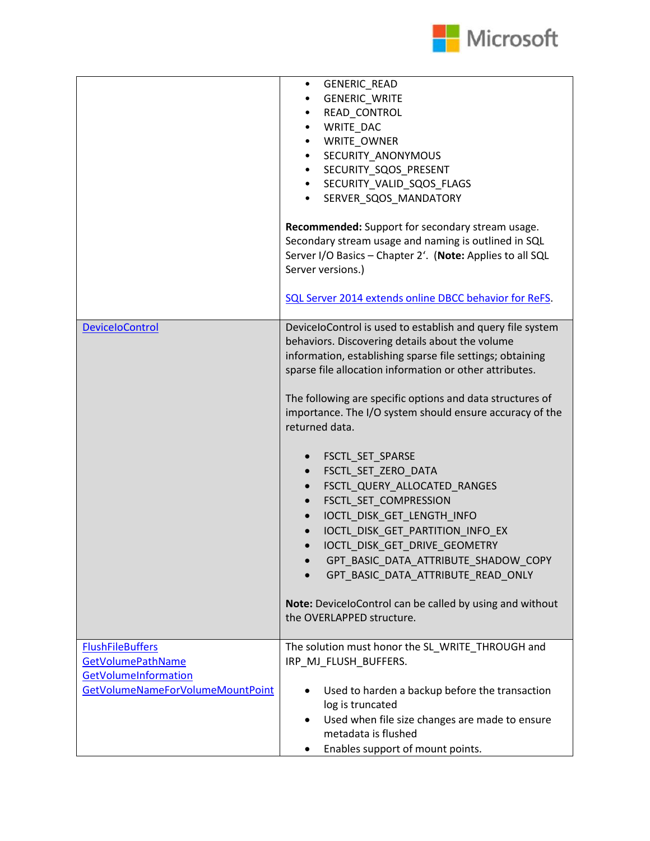

|                                                                                                                 | GENERIC_READ<br>$\bullet$<br><b>GENERIC_WRITE</b><br>READ CONTROL<br>٠<br>WRITE_DAC<br>٠<br>WRITE_OWNER<br>٠<br>SECURITY_ANONYMOUS<br>$\bullet$<br>SECURITY_SQOS_PRESENT<br>$\bullet$<br>SECURITY_VALID_SQOS_FLAGS<br>$\bullet$<br>SERVER_SQOS_MANDATORY<br>$\bullet$<br>Recommended: Support for secondary stream usage.<br>Secondary stream usage and naming is outlined in SQL<br>Server I/O Basics - Chapter 2'. (Note: Applies to all SQL<br>Server versions.)<br>SQL Server 2014 extends online DBCC behavior for ReFS.                                                                                                                                                                                                                                                            |
|-----------------------------------------------------------------------------------------------------------------|------------------------------------------------------------------------------------------------------------------------------------------------------------------------------------------------------------------------------------------------------------------------------------------------------------------------------------------------------------------------------------------------------------------------------------------------------------------------------------------------------------------------------------------------------------------------------------------------------------------------------------------------------------------------------------------------------------------------------------------------------------------------------------------|
| <b>DeviceloControl</b>                                                                                          | DeviceloControl is used to establish and query file system<br>behaviors. Discovering details about the volume<br>information, establishing sparse file settings; obtaining<br>sparse file allocation information or other attributes.<br>The following are specific options and data structures of<br>importance. The I/O system should ensure accuracy of the<br>returned data.<br>FSCTL_SET_SPARSE<br>FSCTL_SET_ZERO_DATA<br>$\bullet$<br>FSCTL_QUERY_ALLOCATED_RANGES<br>$\bullet$<br>FSCTL_SET_COMPRESSION<br>IOCTL_DISK_GET_LENGTH_INFO<br>IOCTL DISK GET PARTITION INFO EX<br>IOCTL DISK GET DRIVE GEOMETRY<br>GPT BASIC DATA ATTRIBUTE SHADOW COPY<br>GPT_BASIC_DATA_ATTRIBUTE_READ_ONLY<br>Note: DeviceloControl can be called by using and without<br>the OVERLAPPED structure. |
| <b>FlushFileBuffers</b><br><b>GetVolumePathName</b><br>GetVolumeInformation<br>GetVolumeNameForVolumeMountPoint | The solution must honor the SL_WRITE_THROUGH and<br>IRP_MJ_FLUSH_BUFFERS.<br>Used to harden a backup before the transaction<br>log is truncated<br>Used when file size changes are made to ensure<br>$\bullet$<br>metadata is flushed<br>Enables support of mount points.<br>٠                                                                                                                                                                                                                                                                                                                                                                                                                                                                                                           |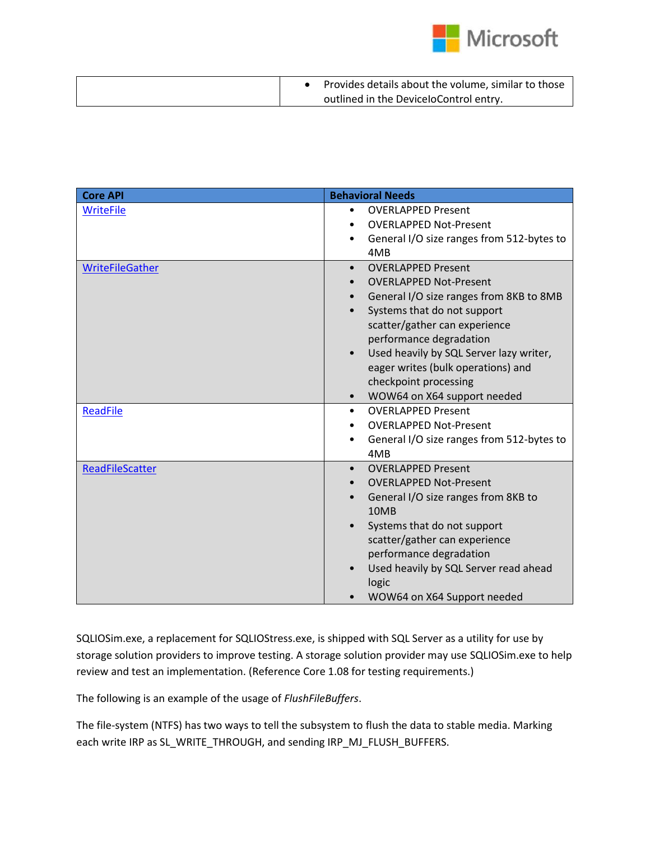

|  | Provides details about the volume, similar to those |
|--|-----------------------------------------------------|
|  | outlined in the DeviceloControl entry.              |

| <b>Core API</b>        | <b>Behavioral Needs</b>                                                                                                                                                                                                                                                                                                                                                                       |
|------------------------|-----------------------------------------------------------------------------------------------------------------------------------------------------------------------------------------------------------------------------------------------------------------------------------------------------------------------------------------------------------------------------------------------|
| <b>WriteFile</b>       | <b>OVERLAPPED Present</b><br>$\bullet$<br><b>OVERLAPPED Not-Present</b><br>General I/O size ranges from 512-bytes to<br>$\bullet$<br>4MB                                                                                                                                                                                                                                                      |
| <b>WriteFileGather</b> | <b>OVERLAPPED Present</b><br>$\bullet$<br><b>OVERLAPPED Not-Present</b><br>General I/O size ranges from 8KB to 8MB<br>$\bullet$<br>Systems that do not support<br>scatter/gather can experience<br>performance degradation<br>Used heavily by SQL Server lazy writer,<br>$\bullet$<br>eager writes (bulk operations) and<br>checkpoint processing<br>WOW64 on X64 support needed<br>$\bullet$ |
| <b>ReadFile</b>        | <b>OVERLAPPED Present</b><br>$\bullet$<br><b>OVERLAPPED Not-Present</b><br>General I/O size ranges from 512-bytes to<br>$\bullet$<br>4MB                                                                                                                                                                                                                                                      |
| <b>ReadFileScatter</b> | <b>OVERLAPPED Present</b><br>$\bullet$<br><b>OVERLAPPED Not-Present</b><br>General I/O size ranges from 8KB to<br>$\bullet$<br>10MB<br>Systems that do not support<br>scatter/gather can experience<br>performance degradation<br>Used heavily by SQL Server read ahead<br>$\bullet$<br>logic<br>WOW64 on X64 Support needed                                                                  |

SQLIOSim.exe, a replacement for SQLIOStress.exe, is shipped with SQL Server as a utility for use by storage solution providers to improve testing. A storage solution provider may use SQLIOSim.exe to help review and test an implementation. (Reference Core 1.08 for testing requirements.)

The following is an example of the usage of *FlushFileBuffers*.

The file-system (NTFS) has two ways to tell the subsystem to flush the data to stable media. Marking each write IRP as SL\_WRITE\_THROUGH, and sending IRP\_MJ\_FLUSH\_BUFFERS.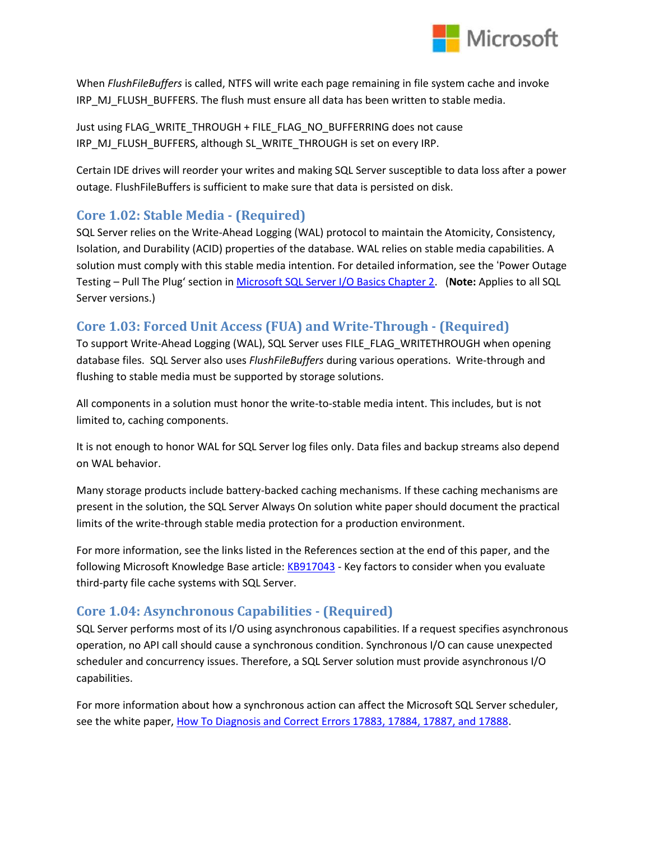

When *FlushFileBuffers* is called, NTFS will write each page remaining in file system cache and invoke IRP\_MJ\_FLUSH\_BUFFERS. The flush must ensure all data has been written to stable media.

Just using FLAG\_WRITE\_THROUGH + FILE\_FLAG\_NO\_BUFFERRING does not cause IRP\_MJ\_FLUSH\_BUFFERS, although SL\_WRITE\_THROUGH is set on every IRP.

Certain IDE drives will reorder your writes and making SQL Server susceptible to data loss after a power outage. FlushFileBuffers is sufficient to make sure that data is persisted on disk.

### **Core 1.02: Stable Media - (Required)**

SQL Server relies on the Write-Ahead Logging (WAL) protocol to maintain the Atomicity, Consistency, Isolation, and Durability (ACID) properties of the database. WAL relies on stable media capabilities. A solution must comply with this stable media intention. For detailed information, see the 'Power Outage Testing – Pull The Plug' section in [Microsoft SQL Server I/O Basics Chapter 2.](http://technet.microsoft.com/en-us/library/cc917726.aspx) (**Note:** Applies to all SQL Server versions.)

### **Core 1.03: Forced Unit Access (FUA) and Write-Through - (Required)**

To support Write-Ahead Logging (WAL), SQL Server uses FILE\_FLAG\_WRITETHROUGH when opening database files. SQL Server also uses *FlushFileBuffers* during various operations. Write-through and flushing to stable media must be supported by storage solutions.

All components in a solution must honor the write-to-stable media intent. This includes, but is not limited to, caching components.

It is not enough to honor WAL for SQL Server log files only. Data files and backup streams also depend on WAL behavior.

Many storage products include battery-backed caching mechanisms. If these caching mechanisms are present in the solution, the SQL Server Always On solution white paper should document the practical limits of the write-through stable media protection for a production environment.

For more information, see the links listed in the References section at the end of this paper, and the following Microsoft Knowledge Base article[: KB917043](http://support.microsoft.com/en-us/kb/kbview/917043) - Key factors to consider when you evaluate third-party file cache systems with SQL Server.

### **Core 1.04: Asynchronous Capabilities - (Required)**

SQL Server performs most of its I/O using asynchronous capabilities. If a request specifies asynchronous operation, no API call should cause a synchronous condition. Synchronous I/O can cause unexpected scheduler and concurrency issues. Therefore, a SQL Server solution must provide asynchronous I/O capabilities.

For more information about how a synchronous action can affect the Microsoft SQL Server scheduler, see the white paper, [How To Diagnosis and Correct Errors 17883, 17884, 17887, and 17888.](https://technet.microsoft.com/en-us/library/cc917684.aspx)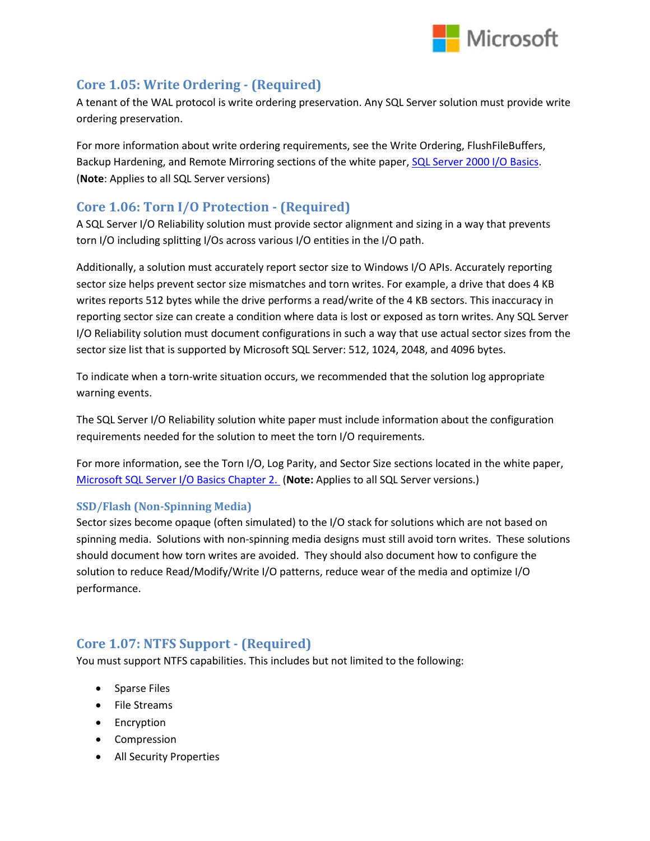

#### **Core 1.05: Write Ordering - (Required)**

A tenant of the WAL protocol is write ordering preservation. Any SQL Server solution must provide write ordering preservation.

For more information about write ordering requirements, see the Write Ordering, FlushFileBuffers, Backup Hardening, and Remote Mirroring sections of the white paper, [SQL Server 2000 I/O Basics.](http://technet.microsoft.com/en-us/library/cc966500.aspx) (**Note**: Applies to all SQL Server versions)

#### **Core 1.06: Torn I/O Protection - (Required)**

A SQL Server I/O Reliability solution must provide sector alignment and sizing in a way that prevents torn I/O including splitting I/Os across various I/O entities in the I/O path.

Additionally, a solution must accurately report sector size to Windows I/O APIs. Accurately reporting sector size helps prevent sector size mismatches and torn writes. For example, a drive that does 4 KB writes reports 512 bytes while the drive performs a read/write of the 4 KB sectors. This inaccuracy in reporting sector size can create a condition where data is lost or exposed as torn writes. Any SQL Server I/O Reliability solution must document configurations in such a way that use actual sector sizes from the sector size list that is supported by Microsoft SQL Server: 512, 1024, 2048, and 4096 bytes.

To indicate when a torn-write situation occurs, we recommended that the solution log appropriate warning events.

The SQL Server I/O Reliability solution white paper must include information about the configuration requirements needed for the solution to meet the torn I/O requirements.

For more information, see the Torn I/O, Log Parity, and Sector Size sections located in the white paper, [Microsoft SQL Server I/O Basics Chapter 2.](https://technet.microsoft.com/en-us/library/cc917726.aspx) (**Note:** Applies to all SQL Server versions.)

#### **SSD/Flash (Non-Spinning Media)**

Sector sizes become opaque (often simulated) to the I/O stack for solutions which are not based on spinning media. Solutions with non-spinning media designs must still avoid torn writes. These solutions should document how torn writes are avoided. They should also document how to configure the solution to reduce Read/Modify/Write I/O patterns, reduce wear of the media and optimize I/O performance.

### **Core 1.07: NTFS Support - (Required)**

You must support NTFS capabilities. This includes but not limited to the following:

- Sparse Files
- File Streams
- Encryption
- Compression
- All Security Properties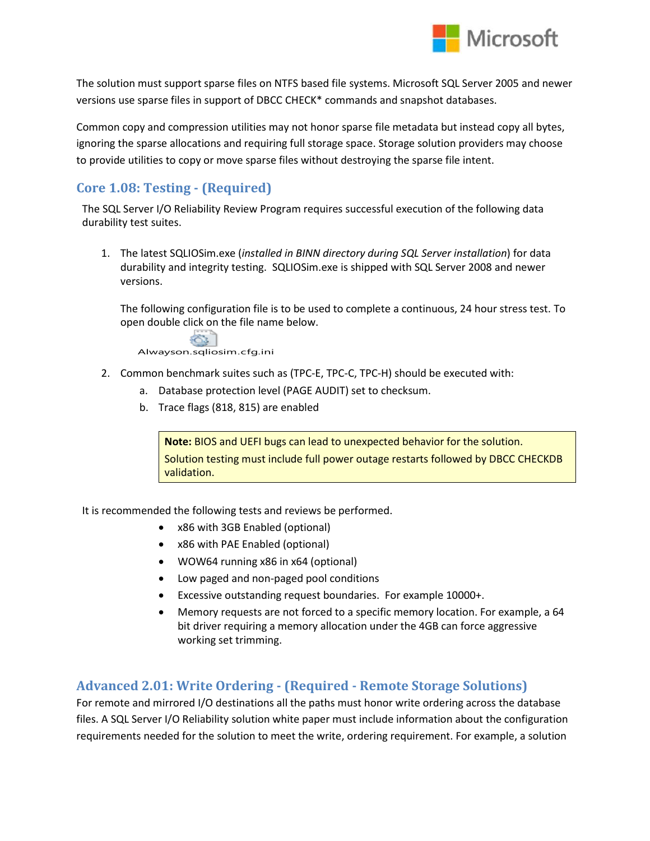

The solution must support sparse files on NTFS based file systems. Microsoft SQL Server 2005 and newer versions use sparse files in support of DBCC CHECK\* commands and snapshot databases.

Common copy and compression utilities may not honor sparse file metadata but instead copy all bytes, ignoring the sparse allocations and requiring full storage space. Storage solution providers may choose to provide utilities to copy or move sparse files without destroying the sparse file intent.

## **Core 1.08: Testing - (Required)**

The SQL Server I/O Reliability Review Program requires successful execution of the following data durability test suites.

1. The latest SQLIOSim.exe (*installed in BINN directory during SQL Server installation*) for data durability and integrity testing. SQLIOSim.exe is shipped with SQL Server 2008 and newer versions.

The following configuration file is to be used to complete a continuous, 24 hour stress test. To open double click on the file name below.



- 2. Common benchmark suites such as (TPC-E, TPC-C, TPC-H) should be executed with:
	- a. Database protection level (PAGE AUDIT) set to checksum.
	- b. Trace flags (818, 815) are enabled

**Note:** BIOS and UEFI bugs can lead to unexpected behavior for the solution. Solution testing must include full power outage restarts followed by DBCC CHECKDB validation.

It is recommended the following tests and reviews be performed.

- x86 with 3GB Enabled (optional)
- x86 with PAE Enabled (optional)
- WOW64 running x86 in x64 (optional)
- Low paged and non-paged pool conditions
- Excessive outstanding request boundaries. For example 10000+.
- Memory requests are not forced to a specific memory location. For example, a 64 bit driver requiring a memory allocation under the 4GB can force aggressive working set trimming.

### **Advanced 2.01: Write Ordering - (Required - Remote Storage Solutions)**

For remote and mirrored I/O destinations all the paths must honor write ordering across the database files. A SQL Server I/O Reliability solution white paper must include information about the configuration requirements needed for the solution to meet the write, ordering requirement. For example, a solution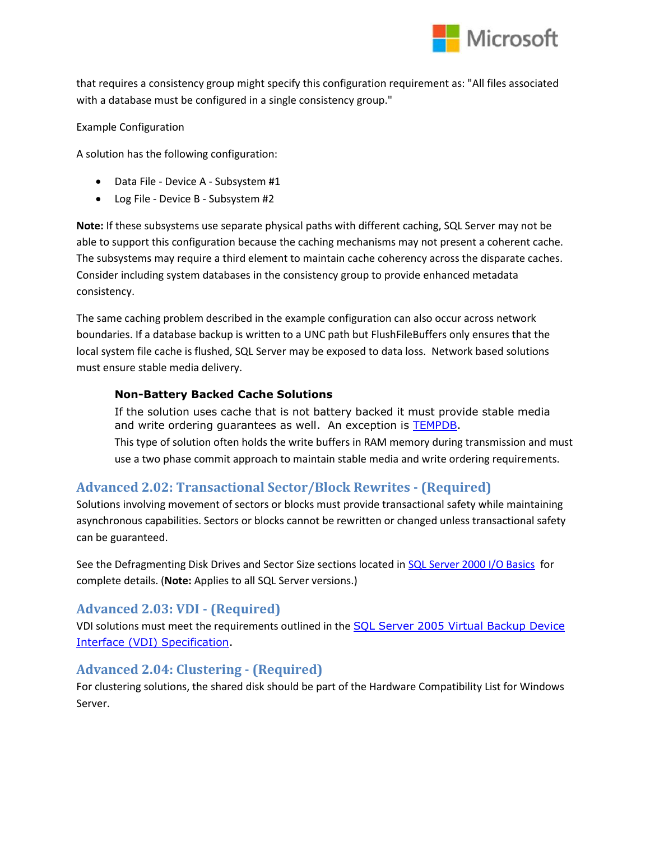

that requires a consistency group might specify this configuration requirement as: "All files associated with a database must be configured in a single consistency group."

Example Configuration

A solution has the following configuration:

- Data File Device A Subsystem #1
- Log File Device B Subsystem #2

**Note:** If these subsystems use separate physical paths with different caching, SQL Server may not be able to support this configuration because the caching mechanisms may not present a coherent cache. The subsystems may require a third element to maintain cache coherency across the disparate caches. Consider including system databases in the consistency group to provide enhanced metadata consistency.

The same caching problem described in the example configuration can also occur across network boundaries. If a database backup is written to a UNC path but FlushFileBuffers only ensures that the local system file cache is flushed, SQL Server may be exposed to data loss. Network based solutions must ensure stable media delivery.

#### **Non-Battery Backed Cache Solutions**

If the solution uses cache that is not battery backed it must provide stable media and write ordering guarantees as well. An exception is **TEMPDB**. This type of solution often holds the write buffers in RAM memory during transmission and must use a two phase commit approach to maintain stable media and write ordering requirements.

### **Advanced 2.02: Transactional Sector/Block Rewrites - (Required)**

Solutions involving movement of sectors or blocks must provide transactional safety while maintaining asynchronous capabilities. Sectors or blocks cannot be rewritten or changed unless transactional safety can be guaranteed.

See the Defragmenting Disk Drives and Sector Size sections located i[n SQL Server 2000 I/O Basics](http://technet.microsoft.com/en-us/library/cc966500.aspx) for complete details. (**Note:** Applies to all SQL Server versions.)

### **Advanced 2.03: VDI - (Required)**

VDI solutions must meet the requirements outlined in the **SQL Server 2005 Virtual Backup Device** [Interface \(VDI\) Specification.](http://www.microsoft.com/downloads/details.aspx?FamilyID=416f8a51-65a3-4e8e-a4c8-adfe15e850fc&DisplayLang=en)

### **Advanced 2.04: Clustering - (Required)**

For clustering solutions, the shared disk should be part of the Hardware Compatibility List for Windows Server.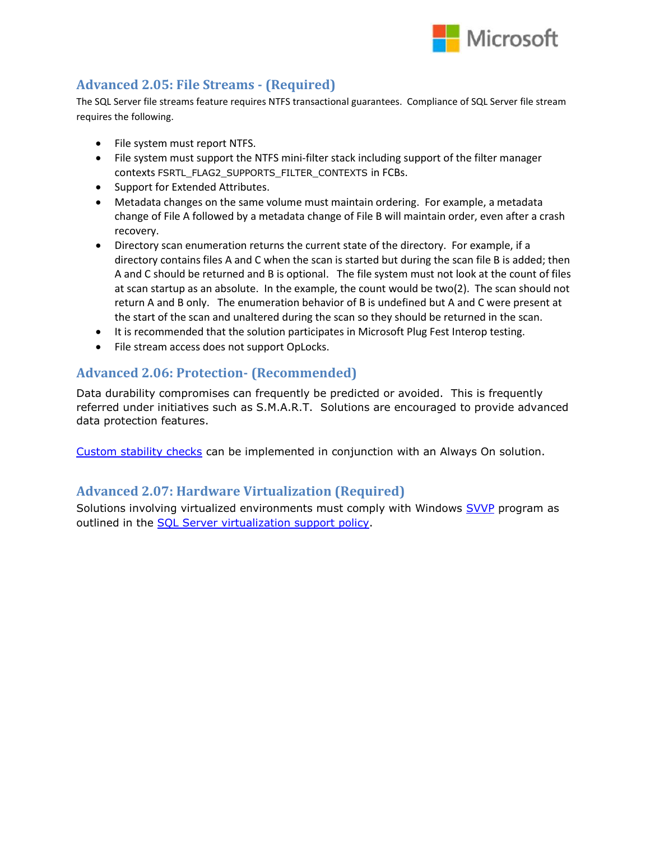

### **Advanced 2.05: File Streams - (Required)**

The SQL Server file streams feature requires NTFS transactional guarantees. Compliance of SQL Server file stream requires the following.

- File system must report NTFS.
- File system must support the NTFS mini-filter stack including support of the filter manager contexts FSRTL\_FLAG2\_SUPPORTS\_FILTER\_CONTEXTS in FCBs.
- Support for Extended Attributes.
- Metadata changes on the same volume must maintain ordering. For example, a metadata change of File A followed by a metadata change of File B will maintain order, even after a crash recovery.
- Directory scan enumeration returns the current state of the directory. For example, if a directory contains files A and C when the scan is started but during the scan file B is added; then A and C should be returned and B is optional. The file system must not look at the count of files at scan startup as an absolute. In the example, the count would be two(2). The scan should not return A and B only. The enumeration behavior of B is undefined but A and C were present at the start of the scan and unaltered during the scan so they should be returned in the scan.
- It is recommended that the solution participates in Microsoft Plug Fest Interop testing.
- File stream access does not support OpLocks.

#### **Advanced 2.06: Protection- (Recommended)**

Data durability compromises can frequently be predicted or avoided. This is frequently referred under initiatives such as S.M.A.R.T. Solutions are encouraged to provide advanced data protection features.

[Custom stability checks](http://blogs.msdn.com/b/alwaysonpro/archive/2014/10/13/enhance-alwayson-failover-policy-to-check-for-connection-and-availability-database-health.aspx) can be implemented in conjunction with an Always On solution.

#### **Advanced 2.07: Hardware Virtualization (Required)**

Solutions involving virtualized environments must comply with Windows **SVVP** program as outlined in the [SQL Server virtualization support policy.](http://support.microsoft.com/KB/956893)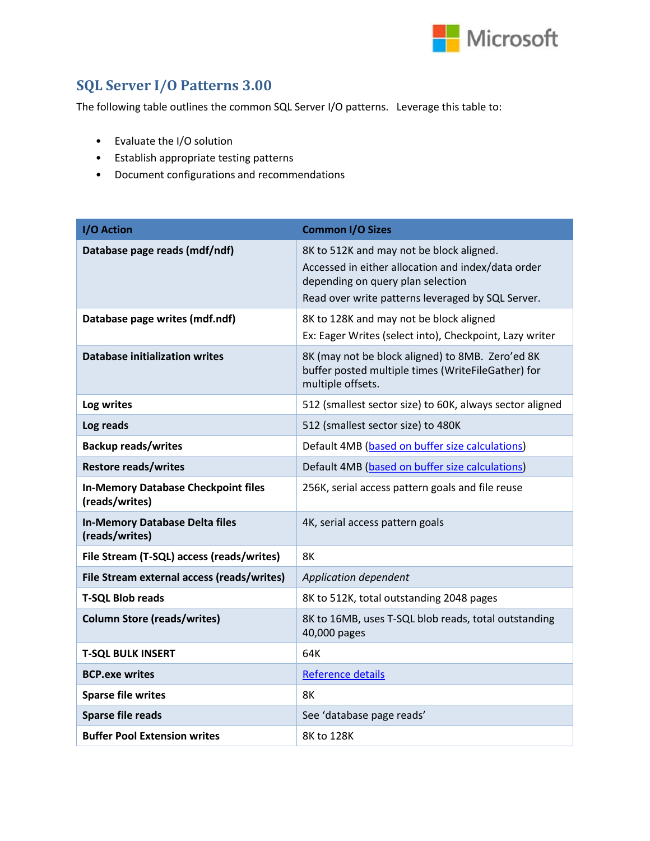

# **SQL Server I/O Patterns 3.00**

The following table outlines the common SQL Server I/O patterns. Leverage this table to:

- Evaluate the I/O solution
- Establish appropriate testing patterns
- Document configurations and recommendations

| I/O Action                                                   | <b>Common I/O Sizes</b>                                                                                                                                                                  |
|--------------------------------------------------------------|------------------------------------------------------------------------------------------------------------------------------------------------------------------------------------------|
| Database page reads (mdf/ndf)                                | 8K to 512K and may not be block aligned.<br>Accessed in either allocation and index/data order<br>depending on query plan selection<br>Read over write patterns leveraged by SQL Server. |
| Database page writes (mdf.ndf)                               | 8K to 128K and may not be block aligned<br>Ex: Eager Writes (select into), Checkpoint, Lazy writer                                                                                       |
| <b>Database initialization writes</b>                        | 8K (may not be block aligned) to 8MB. Zero'ed 8K<br>buffer posted multiple times (WriteFileGather) for<br>multiple offsets.                                                              |
| Log writes                                                   | 512 (smallest sector size) to 60K, always sector aligned                                                                                                                                 |
| Log reads                                                    | 512 (smallest sector size) to 480K                                                                                                                                                       |
| <b>Backup reads/writes</b>                                   | Default 4MB (based on buffer size calculations)                                                                                                                                          |
| <b>Restore reads/writes</b>                                  | Default 4MB (based on buffer size calculations)                                                                                                                                          |
| <b>In-Memory Database Checkpoint files</b><br>(reads/writes) | 256K, serial access pattern goals and file reuse                                                                                                                                         |
| <b>In-Memory Database Delta files</b><br>(reads/writes)      | 4K, serial access pattern goals                                                                                                                                                          |
| File Stream (T-SQL) access (reads/writes)                    | <b>8K</b>                                                                                                                                                                                |
| File Stream external access (reads/writes)                   | Application dependent                                                                                                                                                                    |
| <b>T-SQL Blob reads</b>                                      | 8K to 512K, total outstanding 2048 pages                                                                                                                                                 |
| <b>Column Store (reads/writes)</b>                           | 8K to 16MB, uses T-SQL blob reads, total outstanding<br>40,000 pages                                                                                                                     |
| <b>T-SQL BULK INSERT</b>                                     | 64K                                                                                                                                                                                      |
| <b>BCP.exe writes</b>                                        | <b>Reference details</b>                                                                                                                                                                 |
| <b>Sparse file writes</b>                                    | 8K                                                                                                                                                                                       |
| <b>Sparse file reads</b>                                     | See 'database page reads'                                                                                                                                                                |
| <b>Buffer Pool Extension writes</b>                          | 8K to 128K                                                                                                                                                                               |